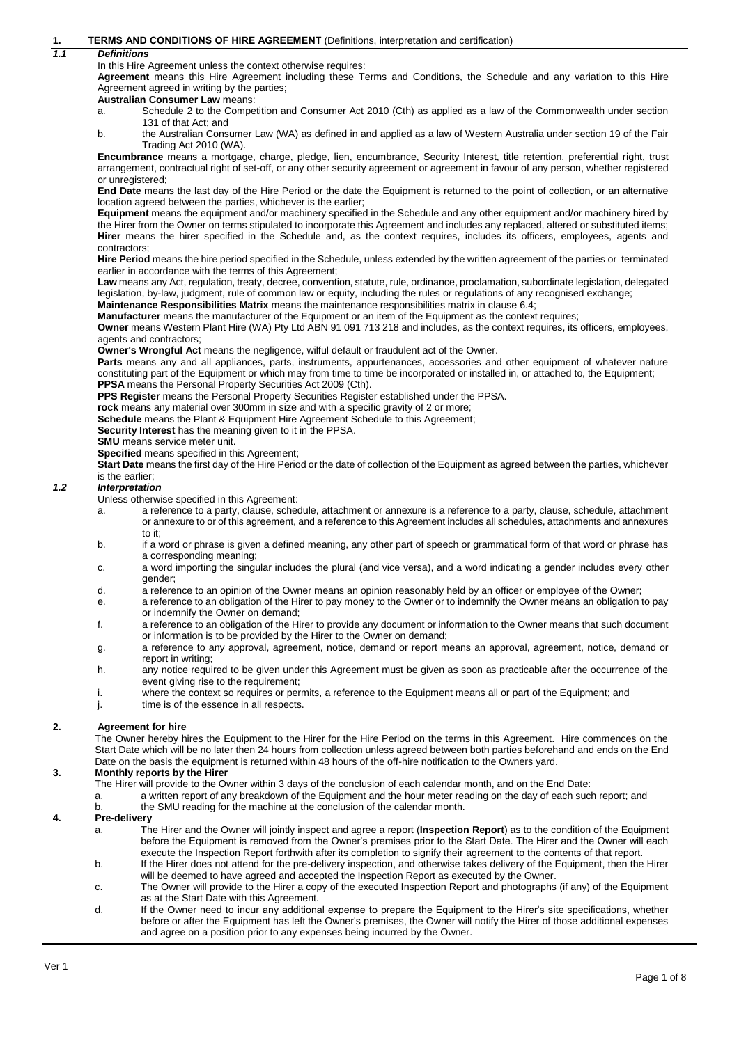### **1. TERMS AND CONDITIONS OF HIRE AGREEMENT** (Definitions, interpretation and certification)

### *1.1 Definitions*

In this Hire Agreement unless the context otherwise requires:

**Agreement** means this Hire Agreement including these Terms and Conditions, the Schedule and any variation to this Hire Agreement agreed in writing by the parties;

#### **Australian Consumer Law** means:

a. Schedule 2 to the Competition and Consumer Act 2010 (Cth) as applied as a law of the Commonwealth under section 131 of that Act: and

b. the Australian Consumer Law (WA) as defined in and applied as a law of Western Australia under section 19 of the Fair Trading Act 2010 (WA).

**Encumbrance** means a mortgage, charge, pledge, lien, encumbrance, Security Interest, title retention, preferential right, trust arrangement, contractual right of set-off, or any other security agreement or agreement in favour of any person, whether registered or unregistered;

**End Date** means the last day of the Hire Period or the date the Equipment is returned to the point of collection, or an alternative location agreed between the parties, whichever is the earlier;

**Equipment** means the equipment and/or machinery specified in the Schedule and any other equipment and/or machinery hired by the Hirer from the Owner on terms stipulated to incorporate this Agreement and includes any replaced, altered or substituted items; **Hirer** means the hirer specified in the Schedule and, as the context requires, includes its officers, employees, agents and contractors;

**Hire Period** means the hire period specified in the Schedule, unless extended by the written agreement of the parties or terminated earlier in accordance with the terms of this Agreement;

Law means any Act, regulation, treaty, decree, convention, statute, rule, ordinance, proclamation, subordinate legislation, delegated legislation, by-law, judgment, rule of common law or equity, including the rules or regulations of any recognised exchange;

**Maintenance Responsibilities Matrix** means the maintenance responsibilities matrix in clause 6.4;

**Manufacturer** means the manufacturer of the Equipment or an item of the Equipment as the context requires;

**Owner** means Western Plant Hire (WA) Pty Ltd ABN 91 091 713 218 and includes, as the context requires, its officers, employees, agents and contractors;

**Owner's Wrongful Act** means the negligence, wilful default or fraudulent act of the Owner.

Parts means any and all appliances, parts, instruments, appurtenances, accessories and other equipment of whatever nature constituting part of the Equipment or which may from time to time be incorporated or installed in, or attached to, the Equipment; **PPSA** means the Personal Property Securities Act 2009 (Cth).

**PPS Register** means the Personal Property Securities Register established under the PPSA.

**rock** means any material over 300mm in size and with a specific gravity of 2 or more;

Schedule means the Plant & Equipment Hire Agreement Schedule to this Agreement;

**Security Interest** has the meaning given to it in the PPSA.

**SMU** means service meter unit.

**Specified** means specified in this Agreement;

**Start Date** means the first day of the Hire Period or the date of collection of the Equipment as agreed between the parties, whichever is the earlier;

#### *1.2 Interpretation*

Unless otherwise specified in this Agreement:

- a. a reference to a party, clause, schedule, attachment or annexure is a reference to a party, clause, schedule, attachment or annexure to or of this agreement, and a reference to this Agreement includes all schedules, attachments and annexures to it;
- b. if a word or phrase is given a defined meaning, any other part of speech or grammatical form of that word or phrase has a corresponding meaning;
- c. a word importing the singular includes the plural (and vice versa), and a word indicating a gender includes every other gender;
- d. a reference to an opinion of the Owner means an opinion reasonably held by an officer or employee of the Owner;
- e. a reference to an obligation of the Hirer to pay money to the Owner or to indemnify the Owner means an obligation to pay or indemnify the Owner on demand;
- f. a reference to an obligation of the Hirer to provide any document or information to the Owner means that such document or information is to be provided by the Hirer to the Owner on demand;
- g. a reference to any approval, agreement, notice, demand or report means an approval, agreement, notice, demand or report in writing;
- h. any notice required to be given under this Agreement must be given as soon as practicable after the occurrence of the event giving rise to the requirement;
- i. where the context so requires or permits, a reference to the Equipment means all or part of the Equipment; and
- j. time is of the essence in all respects.

#### **2. Agreement for hire**

The Owner hereby hires the Equipment to the Hirer for the Hire Period on the terms in this Agreement. Hire commences on the Start Date which will be no later then 24 hours from collection unless agreed between both parties beforehand and ends on the End Date on the basis the equipment is returned within 48 hours of the off-hire notification to the Owners yard.

#### **3. Monthly reports by the Hirer**

- The Hirer will provide to the Owner within 3 days of the conclusion of each calendar month, and on the End Date:
- a. a written report of any breakdown of the Equipment and the hour meter reading on the day of each such report; and b. the SMU reading for the machine at the conclusion of the calendar month.

### **4. Pre-delivery**

- a. The Hirer and the Owner will jointly inspect and agree a report (**Inspection Report**) as to the condition of the Equipment before the Equipment is removed from the Owner's premises prior to the Start Date. The Hirer and the Owner will each execute the Inspection Report forthwith after its completion to signify their agreement to the contents of that report.
- b. If the Hirer does not attend for the pre-delivery inspection, and otherwise takes delivery of the Equipment, then the Hirer will be deemed to have agreed and accepted the Inspection Report as executed by the Owner.
- c. The Owner will provide to the Hirer a copy of the executed Inspection Report and photographs (if any) of the Equipment as at the Start Date with this Agreement.
- d. If the Owner need to incur any additional expense to prepare the Equipment to the Hirer's site specifications, whether before or after the Equipment has left the Owner's premises, the Owner will notify the Hirer of those additional expenses and agree on a position prior to any expenses being incurred by the Owner.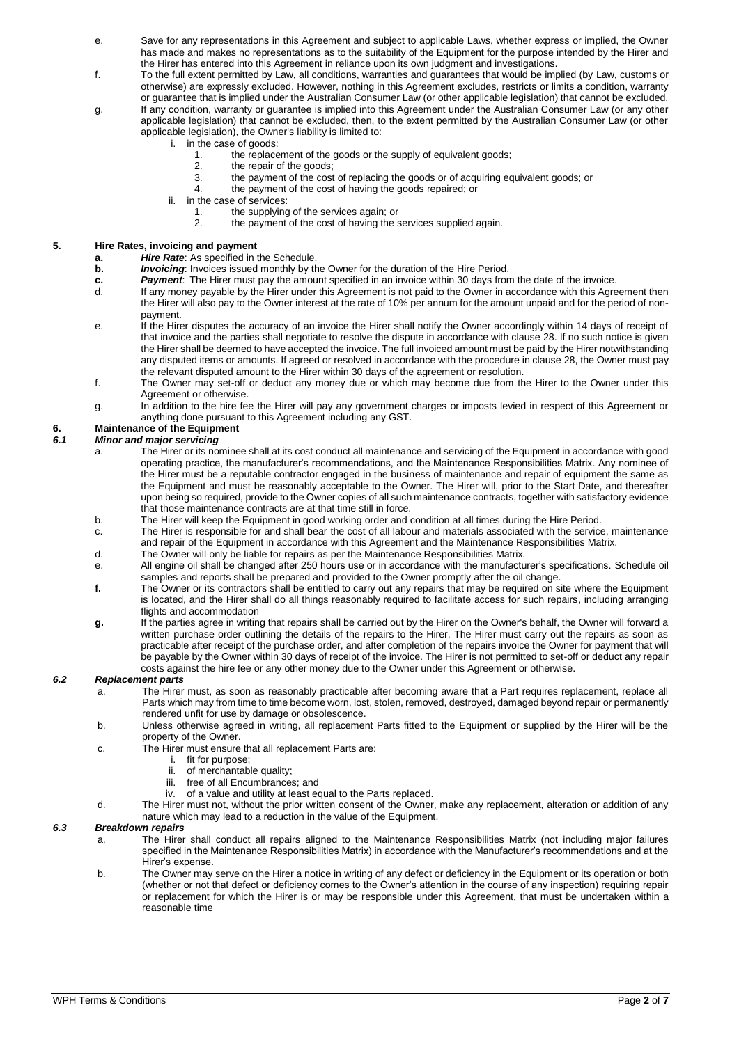- e. Save for any representations in this Agreement and subject to applicable Laws, whether express or implied, the Owner has made and makes no representations as to the suitability of the Equipment for the purpose intended by the Hirer and the Hirer has entered into this Agreement in reliance upon its own judgment and investigations.
- f. To the full extent permitted by Law, all conditions, warranties and guarantees that would be implied (by Law, customs or otherwise) are expressly excluded. However, nothing in this Agreement excludes, restricts or limits a condition, warranty or guarantee that is implied under the Australian Consumer Law (or other applicable legislation) that cannot be excluded.
- g. If any condition, warranty or guarantee is implied into this Agreement under the Australian Consumer Law (or any other applicable legislation) that cannot be excluded, then, to the extent permitted by the Australian Consumer Law (or other applicable legislation), the Owner's liability is limited to:
	- i. in the case of goods:
		- 1. the replacement of the goods or the supply of equivalent goods;
		- 2. the repair of the goods;
		- 3. the payment of the cost of replacing the goods or of acquiring equivalent goods; or 4 the payment of the cost of having the goods repaired: or
		- the payment of the cost of having the goods repaired; or
	- ii. in the case of services:
		- 1. the supplying of the services again; or<br>2. the payment of the cost of having the s
			- the payment of the cost of having the services supplied again.

### **5. Hire Rates, invoicing and payment**

- **a.** *Hire Rate*: As specified in the Schedule.
- **b.** *Invoicing*: Invoices issued monthly by the Owner for the duration of the Hire Period.
- 
- **c.** *Payment*: The Hirer must pay the amount specified in an invoice within 30 days from the date of the invoice.<br>If any money payable by the Hirer under this Agreement is not paid to the Owner in accordance with this A If any money payable by the Hirer under this Agreement is not paid to the Owner in accordance with this Agreement then the Hirer will also pay to the Owner interest at the rate of 10% per annum for the amount unpaid and for the period of nonpayment.
- e. If the Hirer disputes the accuracy of an invoice the Hirer shall notify the Owner accordingly within 14 days of receipt of that invoice and the parties shall negotiate to resolve the dispute in accordance with claus[e 28.](#page-5-0) If no such notice is given the Hirer shall be deemed to have accepted the invoice. The full invoiced amount must be paid by the Hirer notwithstanding any disputed items or amounts. If agreed or resolved in accordance with the procedure in claus[e 28,](#page-5-0) the Owner must pay the relevant disputed amount to the Hirer within 30 days of the agreement or resolution.
- f. The Owner may set-off or deduct any money due or which may become due from the Hirer to the Owner under this Agreement or otherwise.
- g. In addition to the hire fee the Hirer will pay any government charges or imposts levied in respect of this Agreement or anything done pursuant to this Agreement including any GST.

# **6. Maintenance of the Equipment**

### *6.1 Minor and major servicing*

- a. The Hirer or its nominee shall at its cost conduct all maintenance and servicing of the Equipment in accordance with good operating practice, the manufacturer's recommendations, and the Maintenance Responsibilities Matrix. Any nominee of the Hirer must be a reputable contractor engaged in the business of maintenance and repair of equipment the same as the Equipment and must be reasonably acceptable to the Owner. The Hirer will, prior to the Start Date, and thereafter upon being so required, provide to the Owner copies of all such maintenance contracts, together with satisfactory evidence that those maintenance contracts are at that time still in force.
- b. The Hirer will keep the Equipment in good working order and condition at all times during the Hire Period.
- c. The Hirer is responsible for and shall bear the cost of all labour and materials associated with the service, maintenance and repair of the Equipment in accordance with this Agreement and the Maintenance Responsibilities Matrix.
- d. The Owner will only be liable for repairs as per the Maintenance Responsibilities Matrix.
- e. All engine oil shall be changed after 250 hours use or in accordance with the manufacturer's specifications. Schedule oil samples and reports shall be prepared and provided to the Owner promptly after the oil change.
- **f.** The Owner or its contractors shall be entitled to carry out any repairs that may be required on site where the Equipment is located, and the Hirer shall do all things reasonably required to facilitate access for such repairs, including arranging flights and accommodation
- **g.** If the parties agree in writing that repairs shall be carried out by the Hirer on the Owner's behalf, the Owner will forward a written purchase order outlining the details of the repairs to the Hirer. The Hirer must carry out the repairs as soon as practicable after receipt of the purchase order, and after completion of the repairs invoice the Owner for payment that will be payable by the Owner within 30 days of receipt of the invoice. The Hirer is not permitted to set-off or deduct any repair costs against the hire fee or any other money due to the Owner under this Agreement or otherwise.

### *6.2 Replacement parts*

- a. The Hirer must, as soon as reasonably practicable after becoming aware that a Part requires replacement, replace all Parts which may from time to time become worn, lost, stolen, removed, destroyed, damaged beyond repair or permanently rendered unfit for use by damage or obsolescence.
- b. Unless otherwise agreed in writing, all replacement Parts fitted to the Equipment or supplied by the Hirer will be the property of the Owner.
- c. The Hirer must ensure that all replacement Parts are:
	- i. fit for purpose;
	- ii. of merchantable quality;
	- iii. free of all Encumbrances; and
	- iv. of a value and utility at least equal to the Parts replaced.
- d. The Hirer must not, without the prior written consent of the Owner, make any replacement, alteration or addition of any nature which may lead to a reduction in the value of the Equipment.

#### *6.3 Breakdown repairs*

- a. The Hirer shall conduct all repairs aligned to the Maintenance Responsibilities Matrix (not including major failures specified in the Maintenance Responsibilities Matrix) in accordance with the Manufacturer's recommendations and at the Hirer's expense.
- b. The Owner may serve on the Hirer a notice in writing of any defect or deficiency in the Equipment or its operation or both (whether or not that defect or deficiency comes to the Owner's attention in the course of any inspection) requiring repair or replacement for which the Hirer is or may be responsible under this Agreement, that must be undertaken within a reasonable time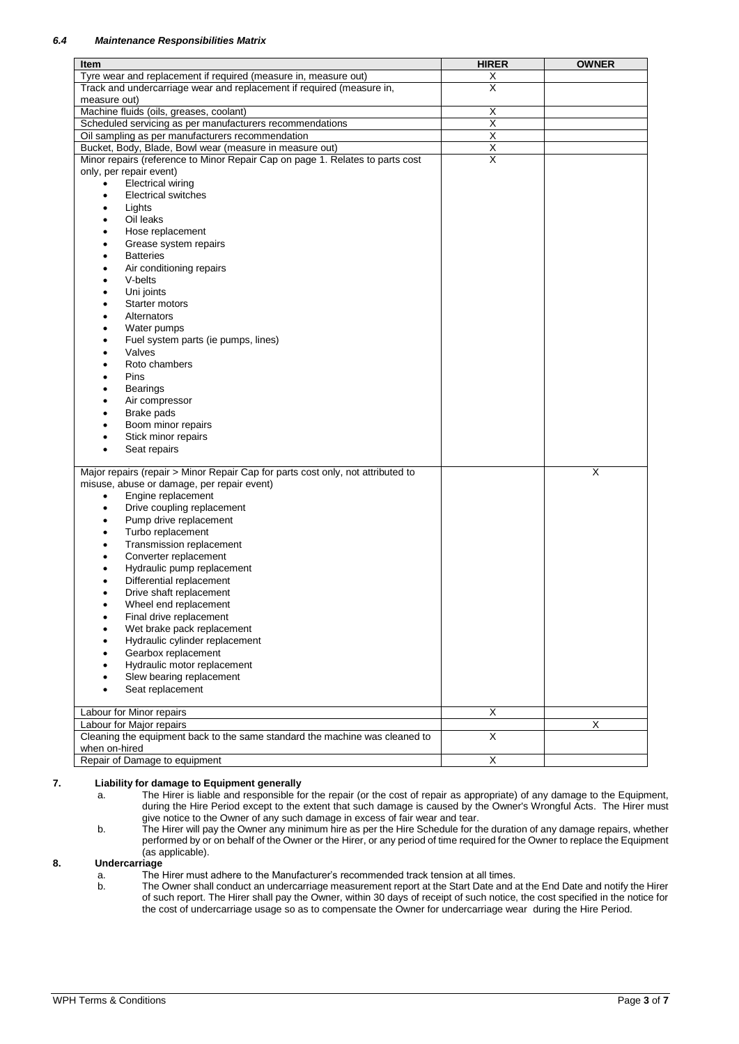| Item                                                                            | <b>HIRER</b>            | <b>OWNER</b> |
|---------------------------------------------------------------------------------|-------------------------|--------------|
| Tyre wear and replacement if required (measure in, measure out)                 | $\overline{\mathsf{X}}$ |              |
| Track and undercarriage wear and replacement if required (measure in,           | $\overline{\mathsf{x}}$ |              |
| measure out)                                                                    |                         |              |
| Machine fluids (oils, greases, coolant)                                         | Χ                       |              |
| Scheduled servicing as per manufacturers recommendations                        | $\overline{\mathsf{x}}$ |              |
| Oil sampling as per manufacturers recommendation                                | Χ                       |              |
| Bucket, Body, Blade, Bowl wear (measure in measure out)                         | $\overline{X}$          |              |
| Minor repairs (reference to Minor Repair Cap on page 1. Relates to parts cost   | X                       |              |
| only, per repair event)                                                         |                         |              |
| <b>Electrical wiring</b><br>$\bullet$<br><b>Electrical switches</b>             |                         |              |
| ٠<br>Lights<br>$\bullet$                                                        |                         |              |
| Oil leaks<br>$\bullet$                                                          |                         |              |
| Hose replacement                                                                |                         |              |
| Grease system repairs<br>٠                                                      |                         |              |
| <b>Batteries</b><br>٠                                                           |                         |              |
| Air conditioning repairs<br>٠                                                   |                         |              |
| V-belts<br>$\bullet$                                                            |                         |              |
| Uni joints<br>$\bullet$                                                         |                         |              |
| Starter motors<br>$\bullet$                                                     |                         |              |
| Alternators<br>$\bullet$                                                        |                         |              |
| Water pumps<br>$\bullet$                                                        |                         |              |
| Fuel system parts (ie pumps, lines)<br>٠                                        |                         |              |
| Valves<br>$\bullet$                                                             |                         |              |
| Roto chambers<br>$\bullet$                                                      |                         |              |
| Pins<br>$\bullet$                                                               |                         |              |
| <b>Bearings</b><br>٠                                                            |                         |              |
| Air compressor<br>$\bullet$                                                     |                         |              |
| Brake pads<br>$\bullet$                                                         |                         |              |
| Boom minor repairs                                                              |                         |              |
| Stick minor repairs<br>٠                                                        |                         |              |
| Seat repairs<br>$\bullet$                                                       |                         |              |
| Major repairs (repair > Minor Repair Cap for parts cost only, not attributed to |                         | X            |
| misuse, abuse or damage, per repair event)                                      |                         |              |
| Engine replacement<br>$\bullet$                                                 |                         |              |
| Drive coupling replacement<br>$\bullet$                                         |                         |              |
| Pump drive replacement<br>$\bullet$                                             |                         |              |
| Turbo replacement<br>٠                                                          |                         |              |
| Transmission replacement<br>٠                                                   |                         |              |
| Converter replacement<br>$\bullet$                                              |                         |              |
| Hydraulic pump replacement<br>$\bullet$                                         |                         |              |
| Differential replacement                                                        |                         |              |
| Drive shaft replacement                                                         |                         |              |
| Wheel end replacement<br>$\bullet$                                              |                         |              |
| Final drive replacement<br>٠                                                    |                         |              |
| Wet brake pack replacement                                                      |                         |              |
| Hydraulic cylinder replacement                                                  |                         |              |
| Gearbox replacement                                                             |                         |              |
| Hydraulic motor replacement                                                     |                         |              |
| Slew bearing replacement<br>Seat replacement                                    |                         |              |
|                                                                                 |                         |              |
| Labour for Minor repairs                                                        | X                       |              |
| Labour for Major repairs                                                        |                         | X            |
| Cleaning the equipment back to the same standard the machine was cleaned to     | $\overline{\mathsf{x}}$ |              |
| when on-hired                                                                   |                         |              |
| Repair of Damage to equipment                                                   | X                       |              |

### **7. Liability for damage to Equipment generally**

- a. The Hirer is liable and responsible for the repair (or the cost of repair as appropriate) of any damage to the Equipment, during the Hire Period except to the extent that such damage is caused by the Owner's Wrongful Acts. The Hirer must give notice to the Owner of any such damage in excess of fair wear and tear.
- b. The Hirer will pay the Owner any minimum hire as per the Hire Schedule for the duration of any damage repairs, whether performed by or on behalf of the Owner or the Hirer, or any period of time required for the Owner to replace the Equipment (as applicable).

### **8. Undercarriage**

- a. The Hirer must adhere to the Manufacturer's recommended track tension at all times.
- b. The Owner shall conduct an undercarriage measurement report at the Start Date and at the End Date and notify the Hirer of such report. The Hirer shall pay the Owner, within 30 days of receipt of such notice, the cost specified in the notice for the cost of undercarriage usage so as to compensate the Owner for undercarriage wear during the Hire Period.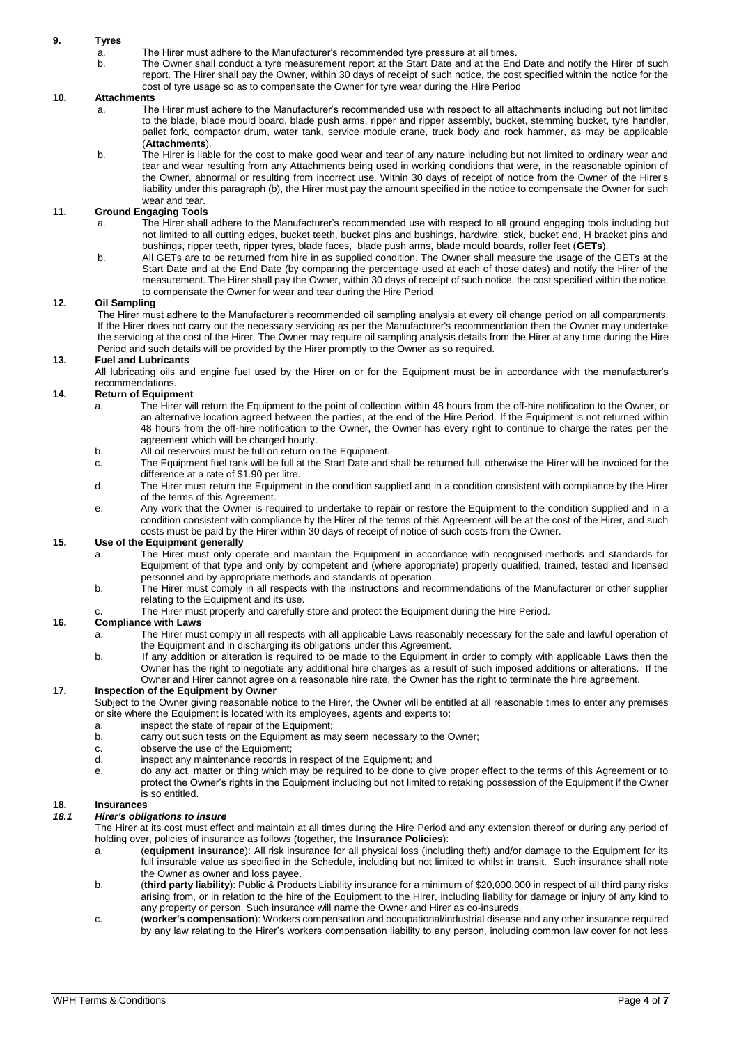### **9. Tyres**

- a. The Hirer must adhere to the Manufacturer's recommended tyre pressure at all times.<br>b. The Owner shall conduct a tyre measurement report at the Start Date and at the Fnc
- The Owner shall conduct a tyre measurement report at the Start Date and at the End Date and notify the Hirer of such report. The Hirer shall pay the Owner, within 30 days of receipt of such notice, the cost specified within the notice for the cost of tyre usage so as to compensate the Owner for tyre wear during the Hire Period

### **10. Attachments**

- a. The Hirer must adhere to the Manufacturer's recommended use with respect to all attachments including but not limited to the blade, blade mould board, blade push arms, ripper and ripper assembly, bucket, stemming bucket, tyre handler, pallet fork, compactor drum, water tank, service module crane, truck body and rock hammer, as may be applicable (**Attachments**).
- b. The Hirer is liable for the cost to make good wear and tear of any nature including but not limited to ordinary wear and tear and wear resulting from any Attachments being used in working conditions that were, in the reasonable opinion of the Owner, abnormal or resulting from incorrect use. Within 30 days of receipt of notice from the Owner of the Hirer's liability under this paragraph (b), the Hirer must pay the amount specified in the notice to compensate the Owner for such wear and tear.

### **11. Ground Engaging Tools**

- a. The Hirer shall adhere to the Manufacturer's recommended use with respect to all ground engaging tools including but not limited to all cutting edges, bucket teeth, bucket pins and bushings, hardwire, stick, bucket end, H bracket pins and bushings, ripper teeth, ripper tyres, blade faces, blade push arms, blade mould boards, roller feet (**GETs**).
- b. All GETs are to be returned from hire in as supplied condition. The Owner shall measure the usage of the GETs at the Start Date and at the End Date (by comparing the percentage used at each of those dates) and notify the Hirer of the measurement. The Hirer shall pay the Owner, within 30 days of receipt of such notice, the cost specified within the notice, to compensate the Owner for wear and tear during the Hire Period

### **12. Oil Sampling**

The Hirer must adhere to the Manufacturer's recommended oil sampling analysis at every oil change period on all compartments. If the Hirer does not carry out the necessary servicing as per the Manufacturer's recommendation then the Owner may undertake the servicing at the cost of the Hirer. The Owner may require oil sampling analysis details from the Hirer at any time during the Hire Period and such details will be provided by the Hirer promptly to the Owner as so required.

### **13. Fuel and Lubricants**

All lubricating oils and engine fuel used by the Hirer on or for the Equipment must be in accordance with the manufacturer's recommendations.

### **14. Return of Equipment**

- a. The Hirer will return the Equipment to the point of collection within 48 hours from the off-hire notification to the Owner, or an alternative location agreed between the parties, at the end of the Hire Period. If the Equipment is not returned within 48 hours from the off-hire notification to the Owner, the Owner has every right to continue to charge the rates per the agreement which will be charged hourly.
- b. All oil reservoirs must be full on return on the Equipment.
- c. The Equipment fuel tank will be full at the Start Date and shall be returned full, otherwise the Hirer will be invoiced for the difference at a rate of \$1.90 per litre.
- d. The Hirer must return the Equipment in the condition supplied and in a condition consistent with compliance by the Hirer of the terms of this Agreement.
- e. Any work that the Owner is required to undertake to repair or restore the Equipment to the condition supplied and in a condition consistent with compliance by the Hirer of the terms of this Agreement will be at the cost of the Hirer, and such costs must be paid by the Hirer within 30 days of receipt of notice of such costs from the Owner.

#### **15. Use of the Equipment generally**

- a. The Hirer must only operate and maintain the Equipment in accordance with recognised methods and standards for Equipment of that type and only by competent and (where appropriate) properly qualified, trained, tested and licensed personnel and by appropriate methods and standards of operation.
- b. The Hirer must comply in all respects with the instructions and recommendations of the Manufacturer or other supplier relating to the Equipment and its use.
- The Hirer must properly and carefully store and protect the Equipment during the Hire Period.

### **16. Compliance with Laws**

- a. The Hirer must comply in all respects with all applicable Laws reasonably necessary for the safe and lawful operation of the Equipment and in discharging its obligations under this Agreement.
- b. If any addition or alteration is required to be made to the Equipment in order to comply with applicable Laws then the Owner has the right to negotiate any additional hire charges as a result of such imposed additions or alterations. If the Owner and Hirer cannot agree on a reasonable hire rate, the Owner has the right to terminate the hire agreement.

### **17. Inspection of the Equipment by Owner**

Subject to the Owner giving reasonable notice to the Hirer, the Owner will be entitled at all reasonable times to enter any premises or site where the Equipment is located with its employees, agents and experts to:

- a. inspect the state of repair of the Equipment;
- carry out such tests on the Equipment as may seem necessary to the Owner;
- c. observe the use of the Equipment;<br>d. inspect any maintenance records in
- inspect any maintenance records in respect of the Equipment; and
- e. do any act, matter or thing which may be required to be done to give proper effect to the terms of this Agreement or to protect the Owner's rights in the Equipment including but not limited to retaking possession of the Equipment if the Owner is so entitled.

### **18. Insurances**

### *18.1 Hirer's obligations to insure*

The Hirer at its cost must effect and maintain at all times during the Hire Period and any extension thereof or during any period of holding over, policies of insurance as follows (together, the **Insurance Policies**):

- a. (**equipment insurance**): All risk insurance for all physical loss (including theft) and/or damage to the Equipment for its full insurable value as specified in the Schedule, including but not limited to whilst in transit. Such insurance shall note the Owner as owner and loss payee.
- b. (**third party liability**): Public & Products Liability insurance for a minimum of \$20,000,000 in respect of all third party risks arising from, or in relation to the hire of the Equipment to the Hirer, including liability for damage or injury of any kind to any property or person. Such insurance will name the Owner and Hirer as co-insureds.
- c. (**worker's compensation**): Workers compensation and occupational/industrial disease and any other insurance required by any law relating to the Hirer's workers compensation liability to any person, including common law cover for not less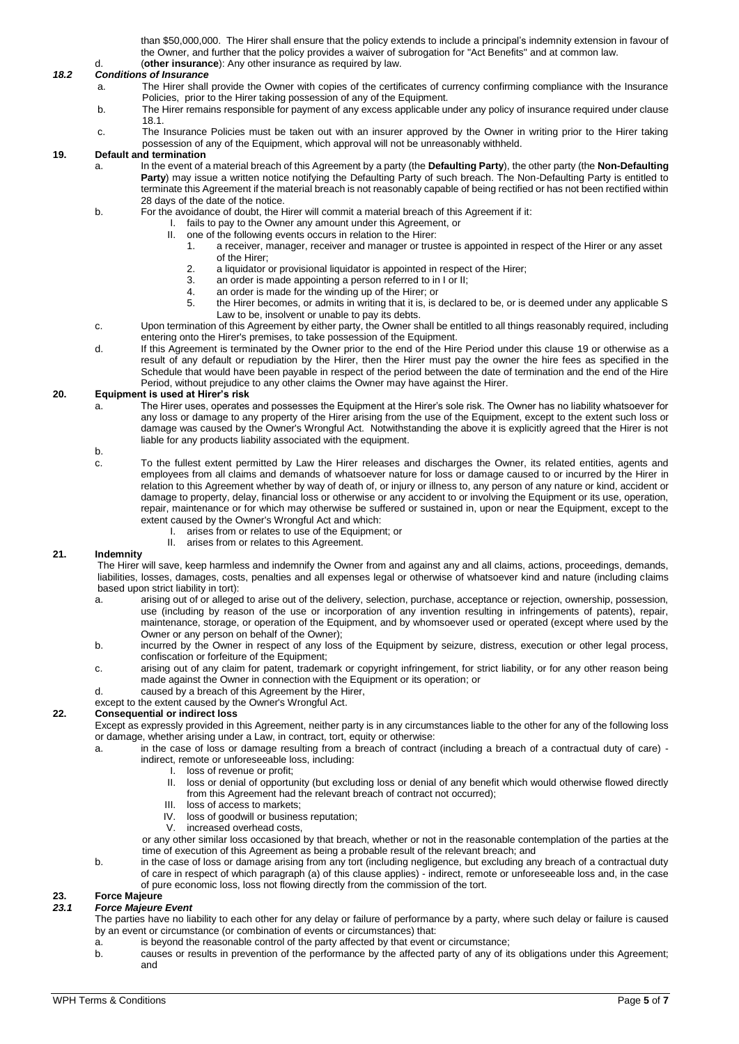than \$50,000,000. The Hirer shall ensure that the policy extends to include a principal's indemnity extension in favour of the Owner, and further that the policy provides a waiver of subrogation for "Act Benefits" and at common law. d. (**other insurance**): Any other insurance as required by law.

### *18.2 Conditions of Insurance*

- a. The Hirer shall provide the Owner with copies of the certificates of currency confirming compliance with the Insurance Policies, prior to the Hirer taking possession of any of the Equipment.
- b. The Hirer remains responsible for payment of any excess applicable under any policy of insurance required under clause 18.1.
- c. The Insurance Policies must be taken out with an insurer approved by the Owner in writing prior to the Hirer taking possession of any of the Equipment, which approval will not be unreasonably withheld.

### <span id="page-4-0"></span>**19. Default and termination**

- a. In the event of a material breach of this Agreement by a party (the **Defaulting Party**), the other party (the **Non-Defaulting Party**) may issue a written notice notifying the Defaulting Party of such breach. The Non-Defaulting Party is entitled to terminate this Agreement if the material breach is not reasonably capable of being rectified or has not been rectified within 28 days of the date of the notice.
- b. For the avoidance of doubt, the Hirer will commit a material breach of this Agreement if it:
	- I. fails to pay to the Owner any amount under this Agreement, or
		- II. one of the following events occurs in relation to the Hirer:
			- 1. a receiver, manager, receiver and manager or trustee is appointed in respect of the Hirer or any asset of the Hirer;
			- 2. a liquidator or provisional liquidator is appointed in respect of the Hirer;<br>3. an order is made appointing a person referred to in Lor II:
			- an order is made appointing a person referred to in I or II;
			- 4. an order is made for the winding up of the Hirer; or<br>5. the Hirer becomes or admits in writing that it is is
			- the Hirer becomes, or admits in writing that it is, is declared to be, or is deemed under any applicable S Law to be, insolvent or unable to pay its debts.
- c. Upon termination of this Agreement by either party, the Owner shall be entitled to all things reasonably required, including entering onto the Hirer's premises, to take possession of the Equipment.
- d. If this Agreement is terminated by the Owner prior to the end of the Hire Period under this clause [19](#page-4-0) or otherwise as a result of any default or repudiation by the Hirer, then the Hirer must pay the owner the hire fees as specified in the Schedule that would have been payable in respect of the period between the date of termination and the end of the Hire Period, without prejudice to any other claims the Owner may have against the Hirer.

### **20. Equipment is used at Hirer's risk**

a. The Hirer uses, operates and possesses the Equipment at the Hirer's sole risk. The Owner has no liability whatsoever for any loss or damage to any property of the Hirer arising from the use of the Equipment, except to the extent such loss or damage was caused by the Owner's Wrongful Act. Notwithstanding the above it is explicitly agreed that the Hirer is not liable for any products liability associated with the equipment.

b.

- c. To the fullest extent permitted by Law the Hirer releases and discharges the Owner, its related entities, agents and employees from all claims and demands of whatsoever nature for loss or damage caused to or incurred by the Hirer in relation to this Agreement whether by way of death of, or injury or illness to, any person of any nature or kind, accident or damage to property, delay, financial loss or otherwise or any accident to or involving the Equipment or its use, operation, repair, maintenance or for which may otherwise be suffered or sustained in, upon or near the Equipment, except to the extent caused by the Owner's Wrongful Act and which:
	- I. arises from or relates to use of the Equipment; or
	- II. arises from or relates to this Agreement.

#### **21. Indemnity**

The Hirer will save, keep harmless and indemnify the Owner from and against any and all claims, actions, proceedings, demands, liabilities, losses, damages, costs, penalties and all expenses legal or otherwise of whatsoever kind and nature (including claims based upon strict liability in tort):

- a. arising out of or alleged to arise out of the delivery, selection, purchase, acceptance or rejection, ownership, possession, use (including by reason of the use or incorporation of any invention resulting in infringements of patents), repair, maintenance, storage, or operation of the Equipment, and by whomsoever used or operated (except where used by the Owner or any person on behalf of the Owner);
- b. incurred by the Owner in respect of any loss of the Equipment by seizure, distress, execution or other legal process, confiscation or forfeiture of the Equipment;
- c. arising out of any claim for patent, trademark or copyright infringement, for strict liability, or for any other reason being made against the Owner in connection with the Equipment or its operation; or
- d. caused by a breach of this Agreement by the Hirer,
- except to the extent caused by the Owner's Wrongful Act.

#### **22. Consequential or indirect loss**

Except as expressly provided in this Agreement, neither party is in any circumstances liable to the other for any of the following loss or damage, whether arising under a Law, in contract, tort, equity or otherwise:

- a. in the case of loss or damage resulting from a breach of contract (including a breach of a contractual duty of care) indirect, remote or unforeseeable loss, including:
	-
	- I. loss of revenue or profit;<br>II. loss or denial of opportui loss or denial of opportunity (but excluding loss or denial of any benefit which would otherwise flowed directly from this Agreement had the relevant breach of contract not occurred);
	- III. loss of access to markets;
	- IV. loss of goodwill or business reputation;<br>V. increased overhead costs.
	- increased overhead costs,

or any other similar loss occasioned by that breach, whether or not in the reasonable contemplation of the parties at the time of execution of this Agreement as being a probable result of the relevant breach; and

b. in the case of loss or damage arising from any tort (including negligence, but excluding any breach of a contractual duty of care in respect of which paragraph (a) of this clause applies) - indirect, remote or unforeseeable loss and, in the case of pure economic loss, loss not flowing directly from the commission of the tort.

## **23. Force Majeure**

### *23.1 Force Majeure Event*

The parties have no liability to each other for any delay or failure of performance by a party, where such delay or failure is caused by an event or circumstance (or combination of events or circumstances) that:

- a. is beyond the reasonable control of the party affected by that event or circumstance;<br>b. causes or results in prevention of the performance by the affected party of any of it
- b. causes or results in prevention of the performance by the affected party of any of its obligations under this Agreement; and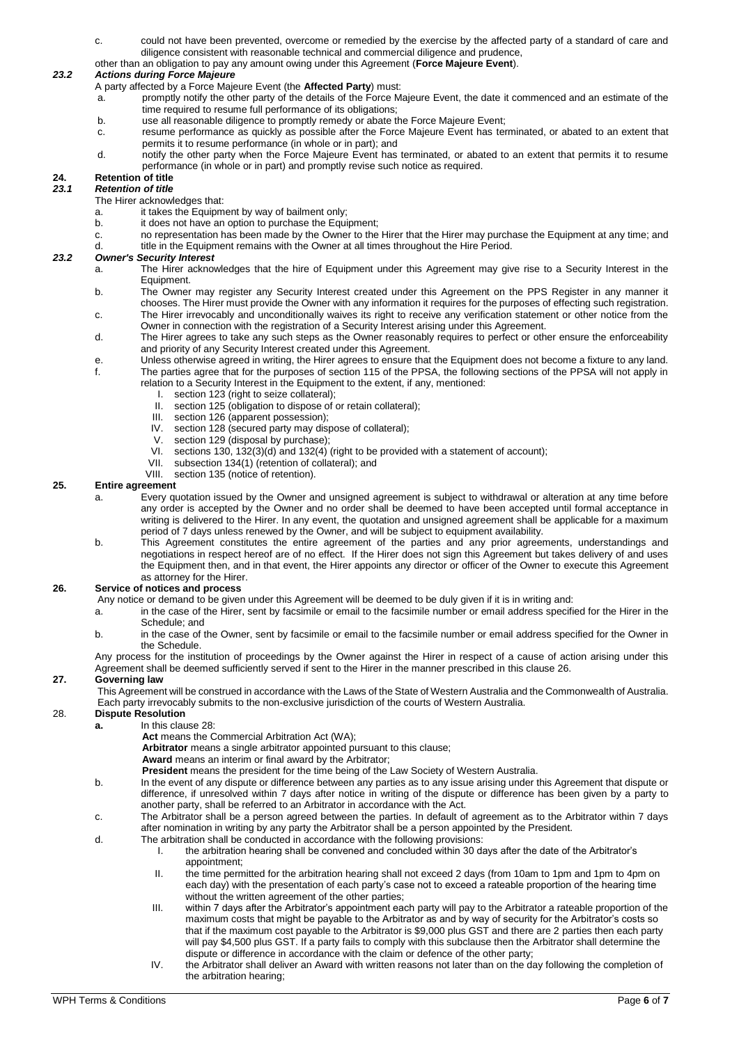- c. could not have been prevented, overcome or remedied by the exercise by the affected party of a standard of care and diligence consistent with reasonable technical and commercial diligence and prudence,
- other than an obligation to pay any amount owing under this Agreement (**Force Majeure Event**).

### *23.2 Actions during Force Majeure*

A party affected by a Force Majeure Event (the **Affected Party**) must:

- a. promptly notify the other party of the details of the Force Majeure Event, the date it commenced and an estimate of the time required to resume full performance of its obligations;
- b. use all reasonable diligence to promptly remedy or abate the Force Majeure Event;
- c. resume performance as quickly as possible after the Force Majeure Event has terminated, or abated to an extent that permits it to resume performance (in whole or in part); and
- d. notify the other party when the Force Majeure Event has terminated, or abated to an extent that permits it to resume performance (in whole or in part) and promptly revise such notice as required.

#### **24. Retention of title** *23.1 Retention of title*

The Hirer acknowledges that:

- 
- a. it takes the Equipment by way of bailment only;<br>b. it does not have an option to purchase the Equi it does not have an option to purchase the Equipment;
- c. no representation has been made by the Owner to the Hirer that the Hirer may purchase the Equipment at any time; and d. title in the Equipment remains with the Owner at all times throughout the Hire Period.

### *23.2 Owner's Security Interest*

- a. The Hirer acknowledges that the hire of Equipment under this Agreement may give rise to a Security Interest in the Equipment.
- b. The Owner may register any Security Interest created under this Agreement on the PPS Register in any manner it chooses. The Hirer must provide the Owner with any information it requires for the purposes of effecting such registration. c. The Hirer irrevocably and unconditionally waives its right to receive any verification statement or other notice from the
- Owner in connection with the registration of a Security Interest arising under this Agreement. d. The Hirer agrees to take any such steps as the Owner reasonably requires to perfect or other ensure the enforceability
	- and priority of any Security Interest created under this Agreement.
- e. Unless otherwise agreed in writing, the Hirer agrees to ensure that the Equipment does not become a fixture to any land. f. The parties agree that for the purposes of section 115 of the PPSA, the following sections of the PPSA will not apply in
- relation to a Security Interest in the Equipment to the extent, if any, mentioned:
	- I. section 123 (right to seize collateral);
	- II. section 125 (obligation to dispose of or retain collateral);<br>III. section 126 (apparent possession);
	- section 126 (apparent possession);
	- IV. section 128 (secured party may dispose of collateral);<br>V. section 129 (disposal by purchase);
	- section 129 (disposal by purchase);
	- VI. sections 130, 132(3)(d) and 132(4) (right to be provided with a statement of account);
	- VII. subsection 134(1) (retention of collateral); and<br>VIII. section 135 (notice of retention).
	- section 135 (notice of retention).

### **25. Entire agreement**

- a. Every quotation issued by the Owner and unsigned agreement is subject to withdrawal or alteration at any time before any order is accepted by the Owner and no order shall be deemed to have been accepted until formal acceptance in writing is delivered to the Hirer. In any event, the quotation and unsigned agreement shall be applicable for a maximum period of 7 days unless renewed by the Owner, and will be subject to equipment availability.
- b. This Agreement constitutes the entire agreement of the parties and any prior agreements, understandings and negotiations in respect hereof are of no effect. If the Hirer does not sign this Agreement but takes delivery of and uses the Equipment then, and in that event, the Hirer appoints any director or officer of the Owner to execute this Agreement as attorney for the Hirer.

### <span id="page-5-1"></span>**26. Service of notices and process**

Any notice or demand to be given under this Agreement will be deemed to be duly given if it is in writing and:

- a. in the case of the Hirer, sent by facsimile or email to the facsimile number or email address specified for the Hirer in the Schedule; and
- b. in the case of the Owner, sent by facsimile or email to the facsimile number or email address specified for the Owner in the Schedule.

Any process for the institution of proceedings by the Owner against the Hirer in respect of a cause of action arising under this Agreement shall be deemed sufficiently served if sent to the Hirer in the manner prescribed in this claus[e 26.](#page-5-1)

### **27. Governing law**

This Agreement will be construed in accordance with the Laws of the State of Western Australia and the Commonwealth of Australia. Each party irrevocably submits to the non-exclusive jurisdiction of the courts of Western Australia.

### <span id="page-5-0"></span>28. **Dispute Resolution**

**a.** In this claus[e 28:](#page-5-0)

Act means the Commercial Arbitration Act (WA);

**Arbitrator** means a single arbitrator appointed pursuant to this clause;

- **Award** means an interim or final award by the Arbitrator;
- **President** means the president for the time being of the Law Society of Western Australia.
- b. In the event of any dispute or difference between any parties as to any issue arising under this Agreement that dispute or difference, if unresolved within 7 days after notice in writing of the dispute or difference has been given by a party to another party, shall be referred to an Arbitrator in accordance with the Act.
- c. The Arbitrator shall be a person agreed between the parties. In default of agreement as to the Arbitrator within 7 days after nomination in writing by any party the Arbitrator shall be a person appointed by the President.
- d. The arbitration shall be conducted in accordance with the following provisions:
	- I. the arbitration hearing shall be convened and concluded within 30 days after the date of the Arbitrator's appointment;
	- II. the time permitted for the arbitration hearing shall not exceed 2 days (from 10am to 1pm and 1pm to 4pm on each day) with the presentation of each party's case not to exceed a rateable proportion of the hearing time without the written agreement of the other parties;
	- III. within 7 days after the Arbitrator's appointment each party will pay to the Arbitrator a rateable proportion of the maximum costs that might be payable to the Arbitrator as and by way of security for the Arbitrator's costs so that if the maximum cost payable to the Arbitrator is \$9,000 plus GST and there are 2 parties then each party will pay \$4,500 plus GST. If a party fails to comply with this subclause then the Arbitrator shall determine the dispute or difference in accordance with the claim or defence of the other party;
	- IV. the Arbitrator shall deliver an Award with written reasons not later than on the day following the completion of the arbitration hearing;